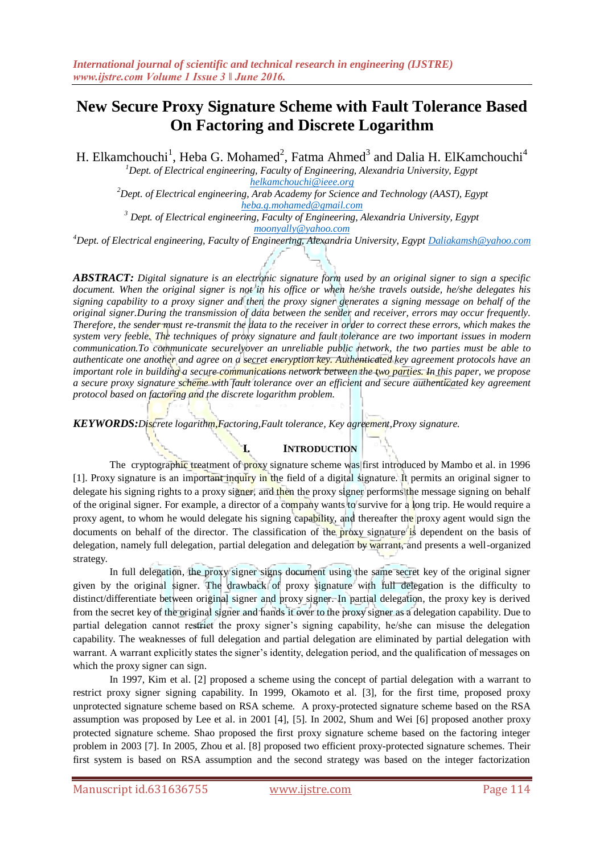# **New Secure Proxy Signature Scheme with Fault Tolerance Based On Factoring and Discrete Logarithm**

H. Elkamchouchi<sup>1</sup>, Heba G. Mohamed<sup>2</sup>, Fatma Ahmed<sup>3</sup> and Dalia H. ElKamchouchi<sup>4</sup>

*<sup>1</sup>Dept. of Electrical engineering, Faculty of Engineering, Alexandria University, Egypt [helkamchouchi@ieee.org](mailto:helkamchouchi@ieee.org)*

*<sup>2</sup>Dept. of Electrical engineering, Arab Academy for Science and Technology (AAST), Egypt [heba.g.mohamed@gmail.com](mailto:heba.g.mohamed@gmail.com)*

*<sup>3</sup> Dept. of Electrical engineering, Faculty of Engineering, Alexandria University, Egypt [moonyally@yahoo.com](mailto:moonyally@yahoo.com)*

*<sup>4</sup>Dept. of Electrical engineering, Faculty of Engineering, Alexandria University, Egypt [Daliakamsh@yahoo.com](mailto:Daliakamsh@yahoo.com)*

*ABSTRACT: Digital signature is an electronic signature form used by an original signer to sign a specific document. When the original signer is not in his office or when he/she travels outside, he/she delegates his signing capability to a proxy signer and then the proxy signer generates a signing message on behalf of the original signer.During the transmission of data between the sender and receiver, errors may occur frequently. Therefore, the sender must re-transmit the data to the receiver in order to correct these errors, which makes the system very feeble. The techniques of proxy signature and fault tolerance are two important issues in modern communication.To communicate securelyover an unreliable public network, the two parties must be able to authenticate one another and agree on a secret encryption key. Authenticated key agreement protocols have an important role in building a secure communications network between the two parties. In this paper, we propose a secure proxy signature scheme with fault tolerance over an efficient and secure authenticated key agreement protocol based on factoring and the discrete logarithm problem.*

*KEYWORDS:Discrete logarithm,Factoring,Fault tolerance, Key agreement,Proxy signature.*

# **I. INTRODUCTION**

The cryptographic treatment of proxy signature scheme was first introduced by Mambo et al. in 1996 [1]. Proxy signature is an important inquiry in the field of a digital signature. It permits an original signer to delegate his signing rights to a proxy signer, and then the proxy signer performs the message signing on behalf of the original signer. For example, a director of a company wants to survive for a long trip. He would require a proxy agent, to whom he would delegate his signing capability, and thereafter the proxy agent would sign the documents on behalf of the director. The classification of the proxy signature is dependent on the basis of delegation, namely full delegation, partial delegation and delegation by warrant, and presents a well-organized strategy.

In full delegation, the proxy signer signs document using the same secret key of the original signer given by the original signer. The drawback of proxy signature with full delegation is the difficulty to distinct/differentiate between original signer and proxy signer. In partial delegation, the proxy key is derived from the secret key of the original signer and hands it over to the proxy signer as a delegation capability. Due to partial delegation cannot restrict the proxy signer's signing capability, he/she can misuse the delegation capability. The weaknesses of full delegation and partial delegation are eliminated by partial delegation with warrant. A warrant explicitly states the signer's identity, delegation period, and the qualification of messages on which the proxy signer can sign.

In 1997, Kim et al. [2] proposed a scheme using the concept of partial delegation with a warrant to restrict proxy signer signing capability. In 1999, Okamoto et al. [3], for the first time, proposed proxy unprotected signature scheme based on RSA scheme. A proxy-protected signature scheme based on the RSA assumption was proposed by Lee et al. in 2001 [4], [5]. In 2002, Shum and Wei [6] proposed another proxy protected signature scheme. Shao proposed the first proxy signature scheme based on the factoring integer problem in 2003 [7]. In 2005, Zhou et al. [8] proposed two efficient proxy-protected signature schemes. Their first system is based on RSA assumption and the second strategy was based on the integer factorization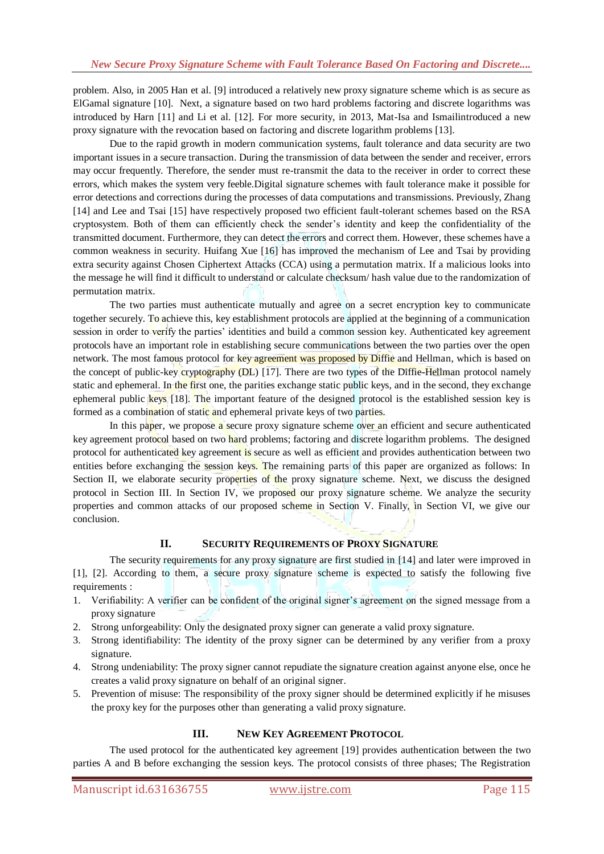problem. Also, in 2005 Han et al. [9] introduced a relatively new proxy signature scheme which is as secure as ElGamal signature [10]. Next, a signature based on two hard problems factoring and discrete logarithms was introduced by Harn [11] and Li et al. [12]. For more security, in 2013, Mat-Isa and Ismailintroduced a new proxy signature with the revocation based on factoring and discrete logarithm problems [13].

Due to the rapid growth in modern communication systems, fault tolerance and data security are two important issues in a secure transaction. During the transmission of data between the sender and receiver, errors may occur frequently. Therefore, the sender must re-transmit the data to the receiver in order to correct these errors, which makes the system very feeble.Digital signature schemes with fault tolerance make it possible for error detections and corrections during the processes of data computations and transmissions. Previously, Zhang [14] and Lee and Tsai [15] have respectively proposed two efficient fault-tolerant schemes based on the RSA cryptosystem. Both of them can efficiently check the sender's identity and keep the confidentiality of the transmitted document. Furthermore, they can detect the errors and correct them. However, these schemes have a common weakness in security. Huifang Xue [16] has improved the mechanism of Lee and Tsai by providing extra security against Chosen Ciphertext Attacks (CCA) using a permutation matrix. If a malicious looks into the message he will find it difficult to understand or calculate checksum/ hash value due to the randomization of permutation matrix.

The two parties must authenticate mutually and agree on a secret encryption key to communicate together securely. To achieve this, key establishment protocols are applied at the beginning of a communication session in order to verify the parties' identities and build a common session key. Authenticated key agreement protocols have an important role in establishing secure communications between the two parties over the open network. The most famous protocol for key agreement was proposed by Diffie and Hellman, which is based on the concept of public-key cryptography (DL) [17]. There are two types of the Diffie-Hellman protocol namely static and ephemeral. In the first one, the parities exchange static public keys, and in the second, they exchange ephemeral public keys [18]. The important feature of the designed protocol is the established session key is formed as a combination of static and ephemeral private keys of two parties.

In this paper, we propose a secure proxy signature scheme over an efficient and secure authenticated key agreement protocol based on two hard problems; factoring and discrete logarithm problems. The designed protocol for authenticated key agreement is secure as well as efficient and provides authentication between two entities before exchanging the session keys. The remaining parts of this paper are organized as follows: In Section II, we elaborate security properties of the proxy signature scheme. Next, we discuss the designed protocol in Section III. In Section IV, we proposed our proxy signature scheme. We analyze the security properties and common attacks of our proposed scheme in Section V. Finally, in Section VI, we give our conclusion.

# **II. SECURITY REQUIREMENTS OF PROXY SIGNATURE**

The security requirements for any proxy signature are first studied in [14] and later were improved in [1], [2]. According to them, a secure proxy signature scheme is expected to satisfy the following five requirements :

- 1. Verifiability: A verifier can be confident of the original signer's agreement on the signed message from a proxy signature
- 2. Strong unforgeability: Only the designated proxy signer can generate a valid proxy signature.
- 3. Strong identifiability: The identity of the proxy signer can be determined by any verifier from a proxy signature.
- 4. Strong undeniability: The proxy signer cannot repudiate the signature creation against anyone else, once he creates a valid proxy signature on behalf of an original signer.
- 5. Prevention of misuse: The responsibility of the proxy signer should be determined explicitly if he misuses the proxy key for the purposes other than generating a valid proxy signature.

# **III. NEW KEY AGREEMENT PROTOCOL**

The used protocol for the authenticated key agreement [19] provides authentication between the two parties A and B before exchanging the session keys. The protocol consists of three phases; The Registration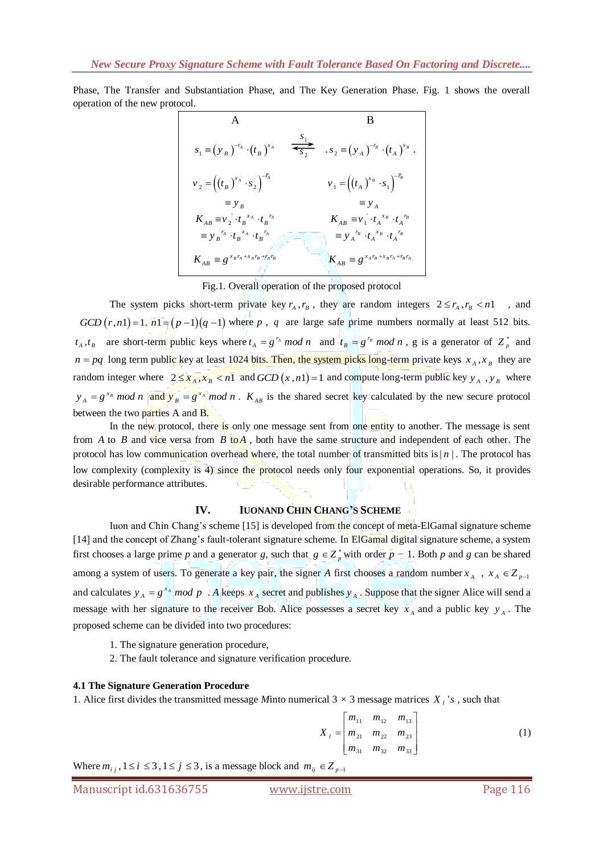Phase, The Transfer and Substantiation Phase, and The Key Generation Phase. Fig. 1 shows the overall operation of the new protocol.

A  
\nB  
\n
$$
s_{1} = (y_{B})^{-r_{A}} \cdot (t_{B})^{x_{A}} \xrightarrow{\sigma_{1}} s_{2} = (y_{A})^{-r_{B}} \cdot (t_{A})^{x_{B}}.
$$
\n
$$
v_{2} = ((t_{B})^{x_{A}} \cdot s_{2})^{-r_{A}} \t v_{1} = ((t_{A})^{x_{B}} \cdot s_{1})^{-r_{B}}
$$
\n
$$
= y_{B} \t y_{B} \t y_{B}^{-r_{A} \cdot t_{B}^{-r_{A}}} \t x_{AB} = v_{1} \cdot t_{A}^{-x_{B}} \cdot t_{A}^{-r_{B}}
$$
\n
$$
= y_{B}^{-r_{A} \cdot t_{B}^{-r_{A}} \cdot t_{B}^{-r_{A}}} \t x_{B} = y_{A}^{-r_{B} \cdot t_{A}^{-r_{B}} \cdot t_{A}^{-r_{B}}
$$
\n
$$
K_{AB} = g^{x_{B}r_{A} + x_{A}r_{B} + r_{A}r_{B}}
$$
\n
$$
K_{AB} = g^{x_{A}r_{B} + x_{B}r_{A} + r_{B}r_{A}}
$$

Fig.1. Overall operation of the proposed protocol

The system picks short-term private key  $r_A$ ,  $r_B$ , they are random integers  $2 \le r_A$ ,  $r_B < n1$ , and  $GCD(r, n1) = 1$ .  $n1 = (p-1)(q-1)$  where p, q are large safe prime numbers normally at least 512 bits.  $t_A$ ,  $t_B$  are short-term public keys where  $t_A = g^{r_A} \mod n$  and  $t_B = g^{r_B} \mod n$ , g is a generator of  $Z_p^*$  and  $n = pq$  long term public key at least 1024 bits. Then, the system picks long-term private keys  $x_A, x_B$  they are random integer where  $2 \le x_A, x_B < n1$  and  $GCD(x, n1) = 1$  and compute long-term public key  $y_A, y_B$  where  $y_A = g^{x_B} \mod n$  and  $y_B = g^{x_A} \mod n$ .  $K_{AB}$  is the shared secret key calculated by the new secure protocol between the two parties A and B.

In the new protocol, there is only one message sent from one entity to another. The message is sent from A to B and vice versa from  $B$  to  $A$ , both have the same structure and independent of each other. The protocol has low communication overhead where, the total number of transmitted bits is  $|n|$ . The protocol has low complexity (complexity is 4) since the protocol needs only four exponential operations. So, it provides desirable performance attributes.

### **IV. IUONAND CHIN CHANG'S SCHEME**

Iuon and Chin Chang's scheme [15] is developed from the concept of meta-ElGamal signature scheme [14] and the concept of Zhang's fault-tolerant signature scheme. In ElGamal digital signature scheme, a system first chooses a large prime *p* and a generator *g*, such that  $g \in Z_p^*$  with order  $p - 1$ . Both *p* and *g* can be shared among a system of users. To generate a key pair, the signer A first chooses a random number  $x_A$ ,  $x_A \in Z_{p-1}$ and calculates  $y_A = g^{x_A} \mod p$ . *A* keeps  $x_A$  secret and publishes  $y_A$ . Suppose that the signer Alice will send a message with her signature to the receiver Bob. Alice possesses a secret key  $x_A$  and a public key  $y_A$ . The proposed scheme can be divided into two procedures:

- 1. The signature generation procedure,
- 2. The fault tolerance and signature verification procedure.

### **4.1 The Signature Generation Procedure**

1. Alice first divides the transmitted message Minto numerical  $3 \times 3$  message matrices  $X_i$ 's, such that

$$
X_{l} = \begin{bmatrix} m_{11} & m_{12} & m_{13} \\ m_{21} & m_{22} & m_{23} \\ m_{31} & m_{32} & m_{33} \end{bmatrix}
$$
 (1)

Where  $m_{i,j}$ ,  $1 \le i \le 3$ ,  $1 \le j \le 3$ , is a message block and  $m_{ij} \in Z_{p-1}$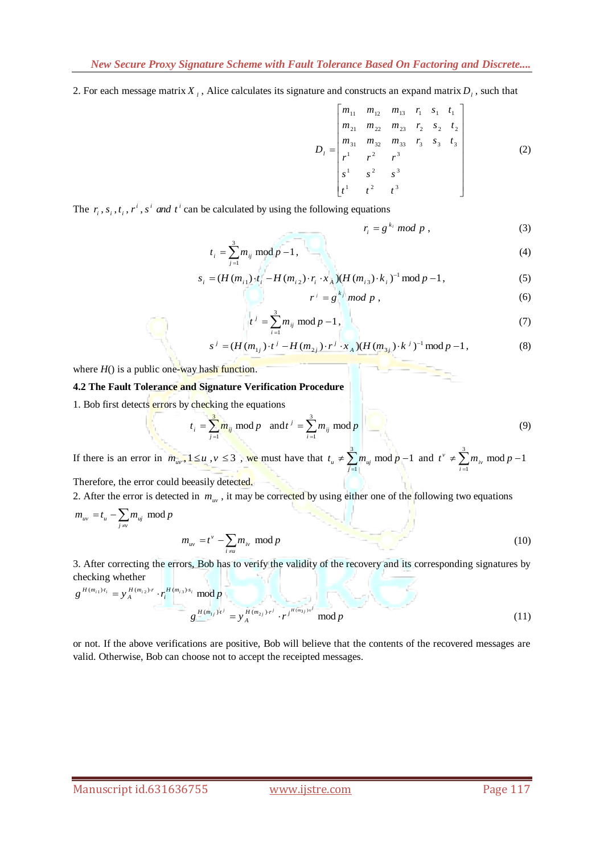2. For each message matrix  $X_i$ , Alice calculates its signature and constructs an expand matrix  $D_i$ , such that

$$
D_{l} = \begin{bmatrix} m_{11} & m_{12} & m_{13} & r_{1} & s_{1} & t_{1} \\ m_{21} & m_{22} & m_{23} & r_{2} & s_{2} & t_{2} \\ m_{31} & m_{32} & m_{33} & r_{3} & s_{3} & t_{3} \\ r^{1} & r^{2} & r^{3} & s^{2} & s^{3} & s^{3} & s^{3} \end{bmatrix}
$$
 (2)

The  $r_i$ ,  $s_i$ ,  $t_i$ ,  $r^i$ ,  $s^i$  *and*  $t^i$  can be calculated by using the following equations

$$
r_i = g^{k_i} \bmod p \tag{3}
$$

$$
t_i = \sum_{j=1}^{3} m_{ij} \bmod p - 1, \tag{4}
$$

$$
t_i = \sum_{j=1}^{n_i} m_{ij} \mod p - 1,
$$
\n
$$
s_i = (H(m_{i1}) \cdot t_i - H(m_{i2}) \cdot r_i \cdot x_A)(H(m_{i3}) \cdot k_i)^{-1} \mod p - 1,
$$
\n(5)

$$
r^j = g^{k_j} \bmod p \;, \tag{6}
$$

$$
t^{j} = \sum_{i=1}^{3} m_{ij} \mod p - 1,
$$
  
\n
$$
s^{j} = (H(m_{1j}) \cdot t^{j} - H(m_{2j}) \cdot r^{j} \cdot x_{A})(H(m_{3j}) \cdot k^{j})^{-1} \mod p - 1,
$$
\n(8)

$$
s^{j} = (H(m_{1j}) \cdot t^{j} - H(m_{2j}) \cdot r^{j} \cdot x_{A})(H(m_{3j}) \cdot k^{j})^{-1} \mod p - 1,
$$
\n(8)

where  $H()$  is a public one-way hash function.

### **4.2 The Fault Tolerance and Signature Verification Procedure**

1. Bob first detects errors by checking the equations

$$
t_i = \sum_{j=1}^{3} m_{ij} \mod p \quad \text{and} \quad t^j = \sum_{i=1}^{3} m_{ij} \mod p \tag{9}
$$

If there is an error in  $m_{uv}$ ,  $1 \le u$ ,  $v \le 3$ , we must have that  $t_u \ne \sum_{i=1}^{3}$  $m_u \neq \sum_{j=1}^{n} m_{uj} \mod p-1$  $t_u \neq \sum_{j=1}^{3} m_{uj} \mod p - 1 \text{ and } t^{\nu} \neq \sum_{i=1}^{3}$  $t^{\nu} \neq \sum_{i=1}^{5} m_{i\nu} \mod p-1$ 

Therefore, the error could beeasily detected.

2. After the error is detected in  $m_{uv}$ , it may be corrected by using either one of the following two equations

$$
m_{uv} = t_u - \sum_{j \neq v} m_{uj} \mod p
$$
  

$$
m_{uv} = t^{\nu} - \sum_{i \neq u} m_{iv} \mod p
$$
 (10)

3. After correcting the errors, Bob has to verify the validity of the recovery and its corresponding signatures by checking whether

$$
g^{H(m_{i1})t_i} = y_A^{H(m_{i2})\cdot r} \cdot r_i^{H(m_{i3})\cdot s_i} \mod p
$$
  

$$
g^{H(m_{i1})t^j} = y_A^{H(m_{i3})\cdot r^j} \cdot r^{j^{H(m_{3})\cdot r^j}} \mod p
$$
  

$$
(11)
$$

or not. If the above verifications are positive, Bob will believe that the contents of the recovered messages are valid. Otherwise, Bob can choose not to accept the receipted messages.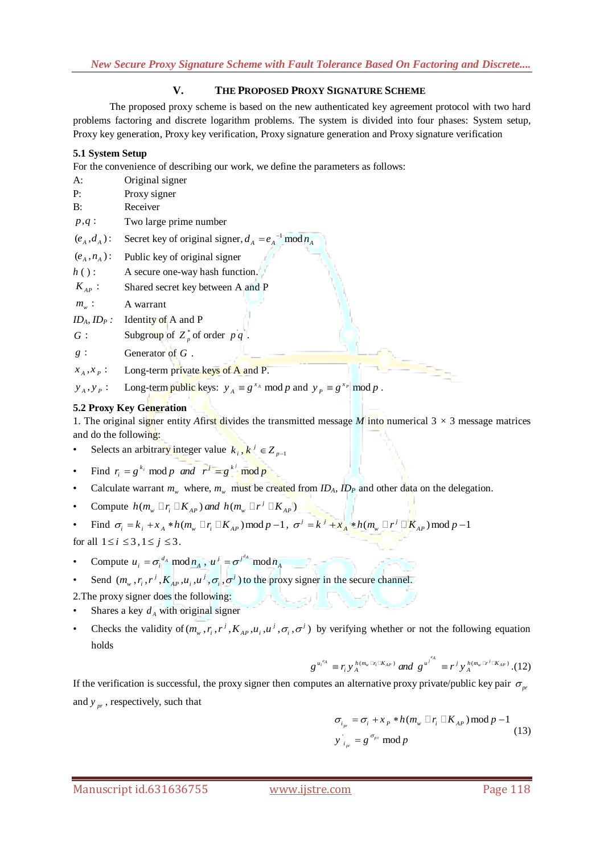# **V. THE PROPOSED PROXY SIGNATURE SCHEME**

The proposed proxy scheme is based on the new authenticated key agreement protocol with two hard problems factoring and discrete logarithm problems. The system is divided into four phases: System setup, Proxy key generation, Proxy key verification, Proxy signature generation and Proxy signature verification

# **5.1 System Setup**

For the convenience of describing our work, we define the parameters as follows:

| A:                           | Original signer                                          |
|------------------------------|----------------------------------------------------------|
| P:                           | Proxy signer                                             |
| B:                           | Receiver                                                 |
| $p,q$ :                      | Two large prime number                                   |
| $(e_{A},d_{A})$ :            | Secret key of original signer, $d_A = e_A^{-1} \mod n_A$ |
| $(e_{A}, n_{A})$ :           | Public key of original signer                            |
| $h()$ :                      | A secure one-way hash function.                          |
| $K_{AP}$ :                   | Shared secret key between A and P                        |
| $m_{\scriptscriptstyle w}$ : | A warrant                                                |
| $ID_A$ , $ID_P$ :            | Identity of A and P                                      |
| G:                           | Subgroup of $Z_p^*$ of order $pq$ .                      |
| $g$ :                        | Generator of $G$ .                                       |
| $x_A, x_P$ :                 | Long-term private keys of A and P.                       |

 $y_A, y_P$ : Long-term public keys:  $y_A \equiv g^{x_A} \mod p$  and  $y_P \equiv g^{x_P} \mod p$ .

# **5.2 Proxy Key Generation**

1. The original signer entity *Afirst* divides the transmitted message *M* into numerical  $3 \times 3$  message matrices and do the following:

- Selects an arbitrary integer value  $k_i, k^j \in Z_{p-1}$
- Find  $r_i = g^{k_i} \mod p$  and  $r^j = g^{k^j} \mod p$
- Calculate warrant  $m_w$  where,  $m_w$  must be created from  $ID_A$ ,  $ID_P$  and other data on the delegation.
- Compute  $h(m_w \Box r_i \Box K_{AP})$  and  $h(m_w \Box r^j \Box K_{AP})$
- Compute  $n(m_w \sqcup r_i \sqcup \mathbf{A}_{AP})$  and  $n(m_w \sqcup r_i \sqcup \mathbf{A}_{AP})$ <br>• Find  $\sigma_i = k_i + x_A * h(m_w \sqcup r_i \sqcup K_{AP}) \text{mod } p-1$ ,  $\sigma^j = k^j + x_A * h(m_w \sqcup r^j \sqcup \mathbf{K}_{AP}) \text{mod } p-1$

for all  $1 \le i \le 3$ ,  $1 \le j \le 3$ .

- Compute  $u_i = \sigma_i^{d_A} \mod n_A$ ,  $u^j = \sigma^{j^{d_A}} \mod n_A$
- Send  $(m_w, r_i, r^j, K_{AP}, u_i, u^j, \sigma_i, \sigma^j)$  to the proxy signer in the secure channel.

2.The proxy signer does the following:

- Shares a key  $d_A$  with original signer
- Checks the validity of  $(m_w, r_i, r^j, K_{AP}, u_i, u^j, \sigma_i, \sigma^j)$  by verifying whether or not the following equation holds

$$
g^{u_i^{e_A}} \equiv r_i y_A^{h(m_w \mathbb{D}_i \mathbb{C} K_{AP})} \text{ and } g^{u^{j^{e_A}}} \equiv r^j y_A^{h(m_w \mathbb{D}^{j} \mathbb{C} K_{AP})}. (12)
$$

If the verification is successful, the proxy signer then computes an alternative proxy private/public key pair  $\sigma_{p}$ and  $y_{pr}$ , respectively, such that

$$
\sigma_{i_{pr}} = \sigma_i + x_P * h(m_w \square r_i \square K_{AP}) \mod p - 1
$$
  
\n
$$
y \Big|_{i_{pr}} = g^{\sigma_{pr}} \mod p
$$
 (13)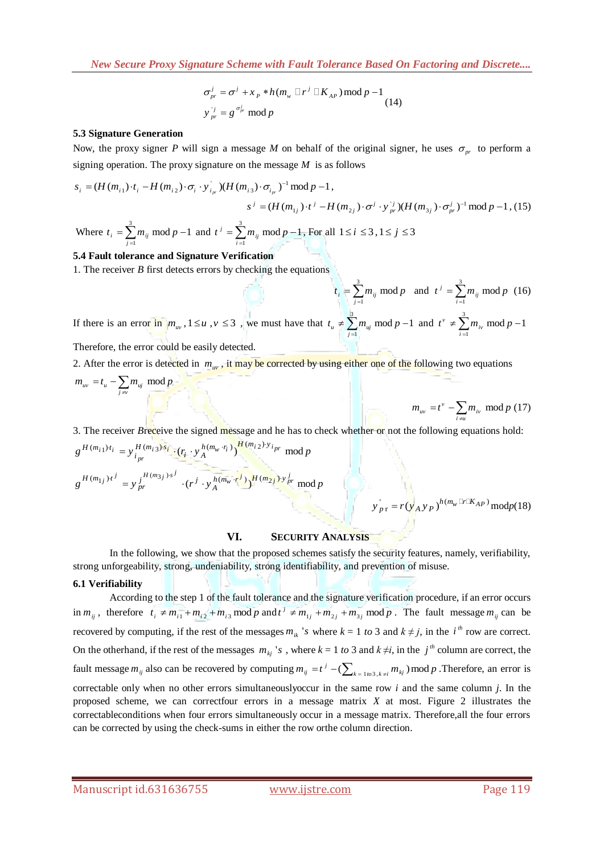$$
\sigma_{pr}^{j} = \sigma^{j} + x_{P} * h(m_{w} \square r^{j} \square K_{AP}) \mod p - 1
$$
  
\n
$$
y_{pr}^{j} = g^{\sigma_{pr}^{j}} \mod p
$$
 (14)

#### **5.3 Signature Generation**

Now, the proxy signer P will sign a message M on behalf of the original signer, he uses  $\sigma_{pr}$  to perform a

signing operation. The proxy signature on the message *M* is as follows

\n
$$
s_i = (H(m_{i1}) \cdot t_i - H(m_{i2}) \cdot \sigma_i \cdot y_{i_{pr}}^{\dagger}) (H(m_{i3}) \cdot \sigma_{i_{pr}})^{-1} \mod p - 1,
$$
\n
$$
s^j = (H(m_{1j}) \cdot t^j - H(m_{2j}) \cdot \sigma^j \cdot y_{pr}^{\dagger}) (H(m_{3j}) \cdot \sigma_{pr}^j)^{-1} \mod p - 1,
$$
\nWhere  $t_i = \sum_{j=1}^{3} m_{ij} \mod p - 1$  and  $t^j = \sum_{i=1}^{3} m_{ij} \mod p - 1$ , For all  $1 \leq i \leq 3, 1 \leq j \leq 3$ 

#### **5.4 Fault tolerance and Signature Verification**

1. The receiver *B* first detects errors by checking the equations

3  $\sum_{j=1}^{i} m_{ij}$  mod  $t_i = \sum m_{ii} \mod p$  $=\sum_{j=1}^{3} m_{ij} \mod p$  and  $t^{j} = \sum_{i=1}^{3} a_{ij} t^{j}$ 1  $j = \sum_{i=1}^j m_{ij}$  mod  $t^{j} = \sum m_{ij} \mod p$  $=\sum_{i=1}^{6} m_{ij} \mod p$  (16) If there is an error in  $m_w$ ,  $1 \le u$ ,  $v \le 3$ , we must have that  $t_u \ne \sum_{i=1}^{3}$  $m_u \neq \sum_{j=1}^{n} m_{uj} \mod p-1$  $t_u \neq \sum_{j=1}^{3} m_{uj} \text{ mod } p-1 \text{ and } t^{\nu} \neq \sum_{i=1}^{3}$  $t^{\nu} \neq \sum_{i=1}^{n} m_{i\nu} \mod p-1$ 

Therefore, the error could be easily detected.

2. After the error is detected in  $m_{uv}$  , it may be corrected by using either one of the following two equations  $u_v = t_u - \sum_{j \neq v} m_{uj}$  mod  $m_{uv} = t_u - \sum_{j \neq v} m_{uj} \mod p$ 

$$
m_{uv} = t^{\nu} - \sum_{i \neq u} m_{iv} \mod p \ (17)
$$

3. The receiver *B*receive the signed message and he has to check whether or not the following equations hold:  $1)^{i}i = v^{H(m_{i3}) \cdot s_i} \cdot (r_{i} \cdot v^{h(m_{w} \cdot r_i)})^{H(m_{i2})}$ 3. The receiver *B*receive the signed message and he has to  $g^{H(m_{i1})t_i} = y^{H(m_{i3})s_i}_{i_{pr}} \cdot (r_i \cdot y^{h(m_w \cdot r_i)}_A)^{H(m_{i2}) \cdot y_{i_{pr}}}$  mod *p* eceiver *Breceive* the signed **message** and  $\frac{d_i}{dt} = y \frac{H(m_i, s) \cdot s_i}{i_{pr}} \cdot (r_i \cdot y_A^{h(m_w \cdot r_i)}) \frac{H(m_i, s) \cdot h(m_i, s)}{i_{pr}}$ 

$$
g^{H(m_{1j})t^{j}} = y^{j^{H(m_{3j})s^{j}}}_{pr} \cdot (r^{j} \cdot y^{h(m_w \cdot r^{j})}_{A})^{H(m_{2j}) \cdot y^{j}_{pr}} \mod p
$$

$$
y'_{p\,\mathrm{r}} = r(y'_{A}y_{P})^{h(m_{w}\ln(K_{AP})}\,\mathrm{mod}p(18)
$$

### **VI. SECURITY ANALYSIS**

In the following, we show that the proposed schemes satisfy the security features, namely, verifiability, strong unforgeability, strong, undeniability, strong identifiability, and prevention of misuse.

### **6.1 Verifiability**

According to the step 1 of the fault tolerance and the signature verification procedure, if an error occurs in  $m_{ij}$ , therefore  $t_i \neq m_{i1} + m_{i2} + m_{i3}$  mod *p* and  $t^j \neq m_{1j} + m_{2j} + m_{3j}$  mod *p*. The fault message  $m_{ij}$  can be recovered by computing, if the rest of the messages  $m_{ik}$  's where  $k = 1$  to 3 and  $k \neq j$ , in the  $i^{th}$  row are correct. On the otherhand, if the rest of the messages  $m_{kj}$  's, where  $k = 1$  to 3 and  $k \neq i$ , in the  $j^{th}$  column are correct, the fault message  $m_{ij}$  also can be recovered by computing  $m_{ij} = t^j - (\sum_{k=1}^k m_{kj} m_{kj}) \mod p$ . Therefore, an error is correctable only when no other errors simultaneouslyoccur in the same row *i* and the same column *j*. In the proposed scheme, we can correctfour errors in a message matrix *X* at most. Figure 2 illustrates the correctableconditions when four errors simultaneously occur in a message matrix. Therefore,all the four errors can be corrected by using the check-sums in either the row orthe column direction.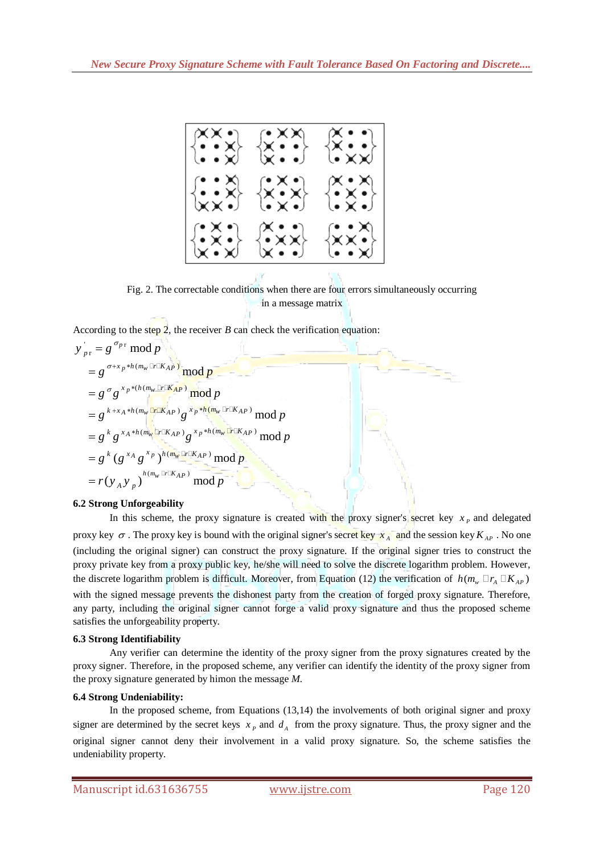

Fig. 2. The correctable conditions when there are four errors simultaneously occurring in a message matrix

According to the step 2, the receiver *B* can check the verification equation:<br> $y'_{pr} = g^{\sigma_{pr}} \mod p$ 

$$
y'_{pr} = g^{\sigma_{pr}} \mod p
$$
  
\n
$$
= g^{\sigma_{\pm x_p * h(m_w \Box r \Box K_{AP})}} \mod p
$$
  
\n
$$
= g^{\sigma} g^{x_p * (h(m_w \Box r \Box K_{AP})} \mod p
$$
  
\n
$$
= g^{k+x_A * h(m_w \Box r \Box K_{AP})} g^{x_p * h(m_w \Box r \Box K_{AP})} \mod p
$$
  
\n
$$
= g^k g^{x_A * h(m_w \Box r \Box K_{AP})} g^{x_p * h(m_w \Box r \Box K_{AP})} \mod p
$$
  
\n
$$
= g^k (g^{x_A} g^{x_p})^{h(m_w \Box r \Box K_{AP})} \mod p
$$
  
\n
$$
= r(y_A y_p)^{h(m_w \Box r \Box K_{AP})} \mod p
$$

# **6.2 Strong Unforgeability**

In this scheme, the proxy signature is created with the proxy signer's secret key  $x_p$  and delegated proxy key  $\sigma$ . The proxy key is bound with the original signer's secret key  $x_A$  and the session key  $K_{AP}$ . No one (including the original signer) can construct the proxy signature. If the original signer tries to construct the proxy private key from a proxy public key, he/she will need to solve the discrete logarithm problem. However, the discrete logarithm problem is difficult. Moreover, from Equation (12) the verification of  $h(m_w \Box r_A \Box K_{AP})$ with the signed message prevents the dishonest party from the creation of forged proxy signature. Therefore, any party, including the original signer cannot forge a valid proxy signature and thus the proposed scheme satisfies the unforgeability property.

# **6.3 Strong Identifiability**

Any verifier can determine the identity of the proxy signer from the proxy signatures created by the proxy signer. Therefore, in the proposed scheme, any verifier can identify the identity of the proxy signer from the proxy signature generated by himon the message *M.*

# **6.4 Strong Undeniability:**

In the proposed scheme, from Equations (13,14) the involvements of both original signer and proxy signer are determined by the secret keys  $x_p$  and  $d_A$  from the proxy signature. Thus, the proxy signer and the original signer cannot deny their involvement in a valid proxy signature. So, the scheme satisfies the undeniability property.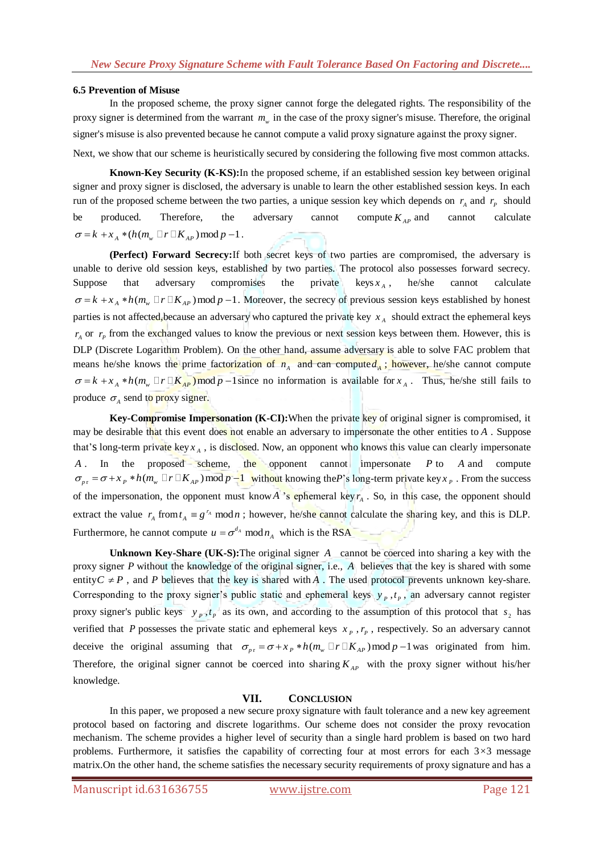### **6.5 Prevention of Misuse**

In the proposed scheme, the proxy signer cannot forge the delegated rights. The responsibility of the proxy signer is determined from the warrant  $m_w$  in the case of the proxy signer's misuse. Therefore, the original signer's misuse is also prevented because he cannot compute a valid proxy signature against the proxy signer.

Next, we show that our scheme is heuristically secured by considering the following five most common attacks.

**Known-Key Security (K-KS):**In the proposed scheme, if an established session key between original signer and proxy signer is disclosed, the adversary is unable to learn the other established session keys. In each run of the proposed scheme between the two parties, a unique session key which depends on  $r_A$  and  $r_P$  should be produced. Therefore, the adversary cannot compute  $K_{AP}$  and cannot calculate  $\sigma = k + x_A * (h(m_w \Box r \Box K_{AP}) \mod p - 1)$ .

**(Perfect) Forward Secrecy:**If both secret keys of two parties are compromised, the adversary is unable to derive old session keys, established by two parties. The protocol also possesses forward secrecy. Suppose that adversary compromises the private  $\text{keys } x_A$ , he/she cannot calculate  $\sigma = k + x_A * h(m_w \Box r \Box K_{AP}) \mod p - 1$ . Moreover, the secrecy of previous session keys established by honest parties is not affected, because an adversary who captured the private key  $x_A$  should extract the ephemeral keys  $r_A$  or  $r_P$  from the exchanged values to know the previous or next session keys between them. However, this is DLP (Discrete Logarithm Problem). On the other hand, assume adversary is able to solve FAC problem that means he/she knows the prime factorization of  $n_A$  and can compute  $d_A$ ; however, he/she cannot compute  $\sigma = k + x_A * h(m_\nu \Box r \Box K_{AP})$  mod  $p - 1$  since no information is available for  $x_A$ . Thus, he/she still fails to produce  $\sigma_A$  send to proxy signer.

**Key-Compromise Impersonation (K-CI):**When the private key of original signer is compromised, it may be desirable that this event does not enable an adversary to impersonate the other entities to A. Suppose that's long-term private key  $x_A$ , is disclosed. Now, an opponent who knows this value can clearly impersonate A . In the proposed scheme, the opponent cannot impersonate *P* to *A* and compute A . In the proposed scheme, the opponent cannot impersonate *P* to *A* and compute  $\sigma_{p} = \sigma + x_p * h(m_w \Box r \Box K_{AP}) \mod p - 1$  without knowing the*P*'s long-term private key *x<sub>p</sub>*. From the success of the impersonation, the opponent must know A 's ephemeral key  $r_A$ . So, in this case, the opponent should extract the value  $r_A$  from  $t_A \equiv g^{r_A} \mod n$ ; however, he/she cannot calculate the sharing key, and this is DLP. Furthermore, he cannot compute  $u = \sigma^{d_A} \mod n_A$  which is the RSA

Unknown Key-Share (UK-S): The original signer A cannot be coerced into sharing a key with the proxy signer P without the knowledge of the original signer, i.e., A believes that the key is shared with some entity  $C \neq P$ , and *P* believes that the key is shared with A. The used protocol prevents unknown key-share. Corresponding to the proxy signer's public static and ephemeral keys  $y_p$ ,  $t_p$ , an adversary cannot register proxy signer's public keys  $y_p, t_p$  as its own, and according to the assumption of this protocol that  $s_2$  has verified that P possesses the private static and ephemeral keys  $x_p$ ,  $r_p$ , respectively. So an adversary cannot verified that *P* possesses the private static and ephemeral keys  $x_p$ ,  $r_p$ , respectively. So an adversary cannot deceive the original assuming that  $\sigma_{p\text{r}} = \sigma + x_p * h(m_w \Box r \Box K_{AP}) \mod p - 1$  was originated from him. Therefore, the original signer cannot be coerced into sharing  $K_{AP}$  with the proxy signer without his/her knowledge.

### **VII. CONCLUSION**

In this paper, we proposed a new secure proxy signature with fault tolerance and a new key agreement protocol based on factoring and discrete logarithms. Our scheme does not consider the proxy revocation mechanism. The scheme provides a higher level of security than a single hard problem is based on two hard problems. Furthermore, it satisfies the capability of correcting four at most errors for each 3*×*3 message matrix.On the other hand, the scheme satisfies the necessary security requirements of proxy signature and has a